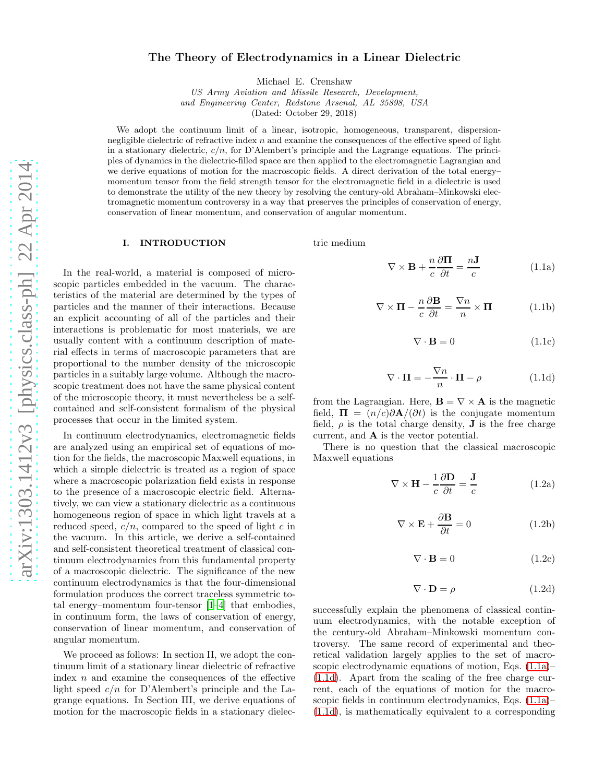# The Theory of Electrodynamics in a Linear Dielectric

Michael E. Crenshaw

US Army Aviation and Missile Research, Development, and Engineering Center, Redstone Arsenal, AL 35898, USA

(Dated: October 29, 2018)

We adopt the continuum limit of a linear, isotropic, homogeneous, transparent, dispersionnegligible dielectric of refractive index  $n$  and examine the consequences of the effective speed of light in a stationary dielectric,  $c/n$ , for D'Alembert's principle and the Lagrange equations. The principles of dynamics in the dielectric-filled space are then applied to the electromagnetic Lagrangian and we derive equations of motion for the macroscopic fields. A direct derivation of the total energy– momentum tensor from the field strength tensor for the electromagnetic field in a dielectric is used to demonstrate the utility of the new theory by resolving the century-old Abraham–Minkowski electromagnetic momentum controversy in a way that preserves the principles of conservation of energy, conservation of linear momentum, and conservation of angular momentum.

#### I. INTRODUCTION

In the real-world, a material is composed of microscopic particles embedded in the vacuum. The characteristics of the material are determined by the types of particles and the manner of their interactions. Because an explicit accounting of all of the particles and their interactions is problematic for most materials, we are usually content with a continuum description of material effects in terms of macroscopic parameters that are proportional to the number density of the microscopic particles in a suitably large volume. Although the macroscopic treatment does not have the same physical content of the microscopic theory, it must nevertheless be a selfcontained and self-consistent formalism of the physical processes that occur in the limited system.

In continuum electrodynamics, electromagnetic fields are analyzed using an empirical set of equations of motion for the fields, the macroscopic Maxwell equations, in which a simple dielectric is treated as a region of space where a macroscopic polarization field exists in response to the presence of a macroscopic electric field. Alternatively, we can view a stationary dielectric as a continuous homogeneous region of space in which light travels at a reduced speed,  $c/n$ , compared to the speed of light c in the vacuum. In this article, we derive a self-contained and self-consistent theoretical treatment of classical continuum electrodynamics from this fundamental property of a macroscopic dielectric. The significance of the new continuum electrodynamics is that the four-dimensional formulation produces the correct traceless symmetric total energy–momentum four-tensor [\[1](#page-4-0)[–4](#page-4-1)] that embodies, in continuum form, the laws of conservation of energy, conservation of linear momentum, and conservation of angular momentum.

We proceed as follows: In section II, we adopt the continuum limit of a stationary linear dielectric of refractive index  $n$  and examine the consequences of the effective light speed  $c/n$  for D'Alembert's principle and the Lagrange equations. In Section III, we derive equations of motion for the macroscopic fields in a stationary dielectric medium

<span id="page-0-0"></span>
$$
\nabla \times \mathbf{B} + \frac{n}{c} \frac{\partial \mathbf{\Pi}}{\partial t} = \frac{n \mathbf{J}}{c}
$$
 (1.1a)

$$
\nabla \times \mathbf{\Pi} - \frac{n}{c} \frac{\partial \mathbf{B}}{\partial t} = \frac{\nabla n}{n} \times \mathbf{\Pi}
$$
 (1.1b)

$$
\nabla \cdot \mathbf{B} = 0 \tag{1.1c}
$$

<span id="page-0-1"></span>
$$
\nabla \cdot \mathbf{\Pi} = -\frac{\nabla n}{n} \cdot \mathbf{\Pi} - \rho \tag{1.1d}
$$

from the Lagrangian. Here,  $\mathbf{B} = \nabla \times \mathbf{A}$  is the magnetic field,  $\Pi = (n/c)\partial \mathbf{A}/(\partial t)$  is the conjugate momentum field,  $\rho$  is the total charge density, **J** is the free charge current, and A is the vector potential.

There is no question that the classical macroscopic Maxwell equations

<span id="page-0-2"></span>
$$
\nabla \times \mathbf{H} - \frac{1}{c} \frac{\partial \mathbf{D}}{\partial t} = \frac{\mathbf{J}}{c}
$$
 (1.2a)

$$
\nabla \times \mathbf{E} + \frac{\partial \mathbf{B}}{\partial t} = 0
$$
 (1.2b)

$$
\nabla \cdot \mathbf{B} = 0 \tag{1.2c}
$$

<span id="page-0-3"></span>
$$
\nabla \cdot \mathbf{D} = \rho \tag{1.2d}
$$

successfully explain the phenomena of classical continuum electrodynamics, with the notable exception of the century-old Abraham–Minkowski momentum controversy. The same record of experimental and theoretical validation largely applies to the set of macroscopic electrodynamic equations of motion, Eqs. [\(1.1a\)](#page-0-0)– [\(1.1d\)](#page-0-1). Apart from the scaling of the free charge current, each of the equations of motion for the macroscopic fields in continuum electrodynamics, Eqs. [\(1.1a\)](#page-0-0)– [\(1.1d\)](#page-0-1), is mathematically equivalent to a corresponding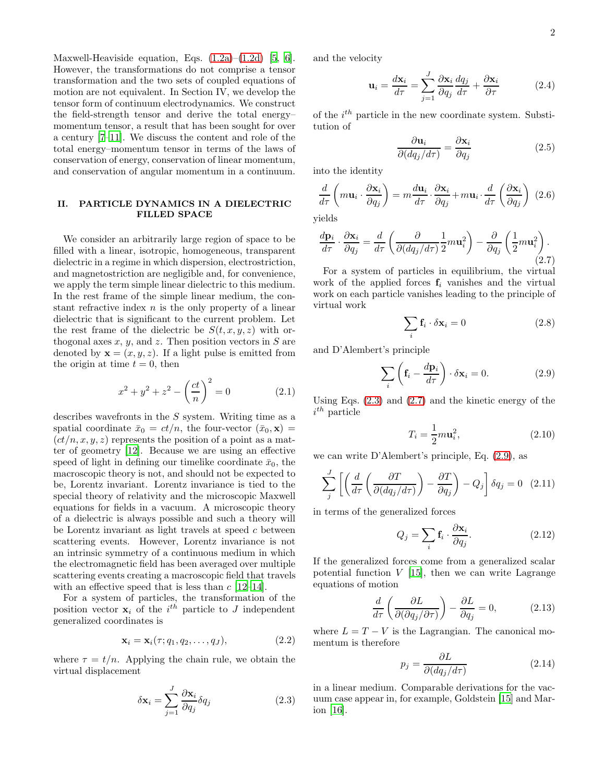Maxwell-Heaviside equation, Eqs.  $(1.2a)$ – $(1.2d)$  [\[5](#page-4-2), [6\]](#page-4-3). However, the transformations do not comprise a tensor transformation and the two sets of coupled equations of motion are not equivalent. In Section IV, we develop the tensor form of continuum electrodynamics. We construct the field-strength tensor and derive the total energy– momentum tensor, a result that has been sought for over a century [\[7](#page-4-4)[–11](#page-4-5)]. We discuss the content and role of the total energy–momentum tensor in terms of the laws of conservation of energy, conservation of linear momentum, and conservation of angular momentum in a continuum.

## II. PARTICLE DYNAMICS IN A DIELECTRIC FILLED SPACE

We consider an arbitrarily large region of space to be filled with a linear, isotropic, homogeneous, transparent dielectric in a regime in which dispersion, electrostriction, and magnetostriction are negligible and, for convenience, we apply the term simple linear dielectric to this medium. In the rest frame of the simple linear medium, the constant refractive index  $n$  is the only property of a linear dielectric that is significant to the current problem. Let the rest frame of the dielectric be  $S(t, x, y, z)$  with orthogonal axes  $x, y$ , and  $z$ . Then position vectors in  $S$  are denoted by  $\mathbf{x} = (x, y, z)$ . If a light pulse is emitted from the origin at time  $t = 0$ , then

$$
x^{2} + y^{2} + z^{2} - \left(\frac{ct}{n}\right)^{2} = 0
$$
 (2.1)

describes wavefronts in the S system. Writing time as a spatial coordinate  $\bar{x}_0 = ct/n$ , the four-vector  $(\bar{x}_0, \mathbf{x}) =$  $(ct/n, x, y, z)$  represents the position of a point as a matter of geometry [\[12](#page-4-6)]. Because we are using an effective speed of light in defining our timelike coordinate  $\bar{x}_0$ , the macroscopic theory is not, and should not be expected to be, Lorentz invariant. Lorentz invariance is tied to the special theory of relativity and the microscopic Maxwell equations for fields in a vacuum. A microscopic theory of a dielectric is always possible and such a theory will be Lorentz invariant as light travels at speed c between scattering events. However, Lorentz invariance is not an intrinsic symmetry of a continuous medium in which the electromagnetic field has been averaged over multiple scattering events creating a macroscopic field that travels with an effective speed that is less than  $c$  [\[12](#page-4-6)[–14\]](#page-4-7).

For a system of particles, the transformation of the position vector  $\mathbf{x}_i$  of the  $i^{th}$  particle to J independent generalized coordinates is

$$
\mathbf{x}_i = \mathbf{x}_i(\tau; q_1, q_2, \dots, q_J), \tag{2.2}
$$

where  $\tau = t/n$ . Applying the chain rule, we obtain the virtual displacement

<span id="page-1-0"></span>
$$
\delta \mathbf{x}_{i} = \sum_{j=1}^{J} \frac{\partial \mathbf{x}_{i}}{\partial q_{j}} \delta q_{j}
$$
 (2.3)

and the velocity

$$
\mathbf{u}_{i} = \frac{d\mathbf{x}_{i}}{d\tau} = \sum_{j=1}^{J} \frac{\partial \mathbf{x}_{i}}{\partial q_{j}} \frac{dq_{j}}{d\tau} + \frac{\partial \mathbf{x}_{i}}{\partial \tau}
$$
(2.4)

of the  $i^{th}$  particle in the new coordinate system. Substitution of

$$
\frac{\partial \mathbf{u}_i}{\partial (dq_j/d\tau)} = \frac{\partial \mathbf{x}_i}{\partial q_j} \tag{2.5}
$$

into the identity

$$
\frac{d}{d\tau}\left(m\mathbf{u}_{i}\cdot\frac{\partial\mathbf{x}_{i}}{\partial q_{j}}\right) = m\frac{d\mathbf{u}_{i}}{d\tau}\cdot\frac{\partial\mathbf{x}_{i}}{\partial q_{j}} + m\mathbf{u}_{i}\cdot\frac{d}{d\tau}\left(\frac{\partial\mathbf{x}_{i}}{\partial q_{j}}\right)
$$
(2.6)

yields

<span id="page-1-1"></span>
$$
\frac{d\mathbf{p}_i}{d\tau} \cdot \frac{\partial \mathbf{x}_i}{\partial q_j} = \frac{d}{d\tau} \left( \frac{\partial}{\partial (dq_j/d\tau)} \frac{1}{2} m \mathbf{u}_i^2 \right) - \frac{\partial}{\partial q_j} \left( \frac{1}{2} m \mathbf{u}_i^2 \right).
$$
\n(2.7)

For a system of particles in equilibrium, the virtual work of the applied forces  $f_i$  vanishes and the virtual work on each particle vanishes leading to the principle of virtual work

$$
\sum_{i} \mathbf{f}_i \cdot \delta \mathbf{x}_i = 0 \tag{2.8}
$$

and D'Alembert's principle

<span id="page-1-2"></span>
$$
\sum_{i} \left( \mathbf{f}_{i} - \frac{d\mathbf{p}_{i}}{d\tau} \right) \cdot \delta \mathbf{x}_{i} = 0. \tag{2.9}
$$

Using Eqs.  $(2.3)$  and  $(2.7)$  and the kinetic energy of the  $i^{th}$  particle

$$
T_i = \frac{1}{2}m\mathbf{u}_i^2,\tag{2.10}
$$

we can write D'Alembert's principle, Eq. [\(2.9\)](#page-1-2), as

$$
\sum_{j}^{J} \left[ \left( \frac{d}{d\tau} \left( \frac{\partial T}{\partial (dq_j/d\tau)} \right) - \frac{\partial T}{\partial q_j} \right) - Q_j \right] \delta q_j = 0 \quad (2.11)
$$

in terms of the generalized forces

$$
Q_j = \sum_i \mathbf{f}_i \cdot \frac{\partial \mathbf{x}_i}{\partial q_j}.
$$
 (2.12)

If the generalized forces come from a generalized scalar potential function  $V$  [\[15\]](#page-4-8), then we can write Lagrange equations of motion

<span id="page-1-3"></span>
$$
\frac{d}{d\tau} \left( \frac{\partial L}{\partial(\partial q_j/\partial \tau)} \right) - \frac{\partial L}{\partial q_j} = 0, \tag{2.13}
$$

where  $L = T - V$  is the Lagrangian. The canonical momentum is therefore

<span id="page-1-4"></span>
$$
p_j = \frac{\partial L}{\partial (dq_j/d\tau)}\tag{2.14}
$$

in a linear medium. Comparable derivations for the vacuum case appear in, for example, Goldstein [\[15](#page-4-8)] and Marion [\[16](#page-4-9)].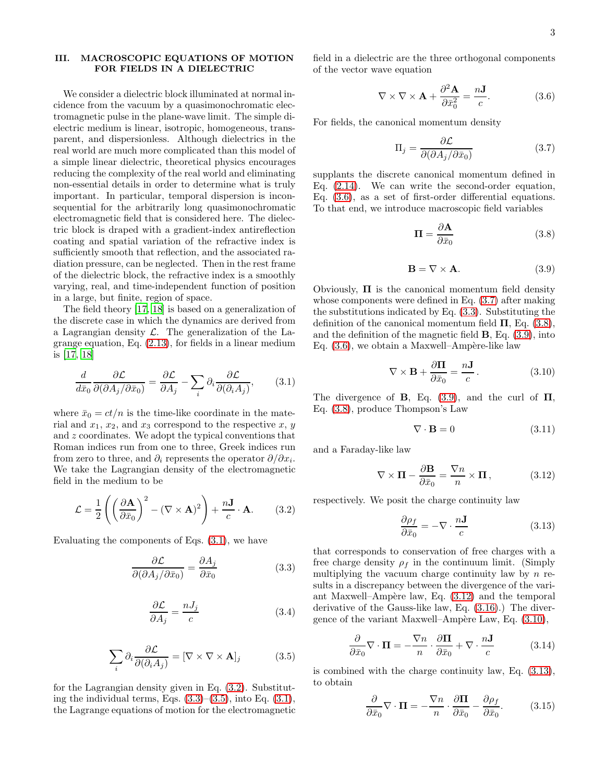## III. MACROSCOPIC EQUATIONS OF MOTION FOR FIELDS IN A DIELECTRIC

We consider a dielectric block illuminated at normal incidence from the vacuum by a quasimonochromatic electromagnetic pulse in the plane-wave limit. The simple dielectric medium is linear, isotropic, homogeneous, transparent, and dispersionless. Although dielectrics in the real world are much more complicated than this model of a simple linear dielectric, theoretical physics encourages reducing the complexity of the real world and eliminating non-essential details in order to determine what is truly important. In particular, temporal dispersion is inconsequential for the arbitrarily long quasimonochromatic electromagnetic field that is considered here. The dielectric block is draped with a gradient-index antireflection coating and spatial variation of the refractive index is sufficiently smooth that reflection, and the associated radiation pressure, can be neglected. Then in the rest frame of the dielectric block, the refractive index is a smoothly varying, real, and time-independent function of position in a large, but finite, region of space.

The field theory [\[17,](#page-4-10) [18](#page-4-11)] is based on a generalization of the discrete case in which the dynamics are derived from a Lagrangian density  $\mathcal{L}$ . The generalization of the Lagrange equation, Eq. [\(2.13\)](#page-1-3), for fields in a linear medium is [\[17,](#page-4-10) [18\]](#page-4-11)

<span id="page-2-0"></span>
$$
\frac{d}{d\bar{x}_0} \frac{\partial \mathcal{L}}{\partial(\partial A_j/\partial \bar{x}_0)} = \frac{\partial \mathcal{L}}{\partial A_j} - \sum_i \partial_i \frac{\partial \mathcal{L}}{\partial(\partial_i A_j)},\tag{3.1}
$$

where  $\bar{x}_0 = ct/n$  is the time-like coordinate in the material and  $x_1, x_2$ , and  $x_3$  correspond to the respective  $x, y$ and z coordinates. We adopt the typical conventions that Roman indices run from one to three, Greek indices run from zero to three, and  $\partial_i$  represents the operator  $\partial/\partial x_i$ . We take the Lagrangian density of the electromagnetic field in the medium to be

<span id="page-2-1"></span>
$$
\mathcal{L} = \frac{1}{2} \left( \left( \frac{\partial \mathbf{A}}{\partial \bar{x}_0} \right)^2 - (\nabla \times \mathbf{A})^2 \right) + \frac{n \mathbf{J}}{c} \cdot \mathbf{A}.
$$
 (3.2)

Evaluating the components of Eqs. [\(3.1\)](#page-2-0), we have

<span id="page-2-2"></span>
$$
\frac{\partial \mathcal{L}}{\partial(\partial A_j/\partial \bar{x}_0)} = \frac{\partial A_j}{\partial \bar{x}_0}
$$
(3.3)

$$
\frac{\partial \mathcal{L}}{\partial A_j} = \frac{nJ_j}{c} \tag{3.4}
$$

<span id="page-2-3"></span>
$$
\sum_{i} \partial_{i} \frac{\partial \mathcal{L}}{\partial(\partial_{i} A_{j})} = [\nabla \times \nabla \times \mathbf{A}]_{j}
$$
(3.5)

for the Lagrangian density given in Eq. [\(3.2\)](#page-2-1). Substituting the individual terms, Eqs.  $(3.3)$ – $(3.5)$ , into Eq.  $(3.1)$ , the Lagrange equations of motion for the electromagnetic

field in a dielectric are the three orthogonal components of the vector wave equation

<span id="page-2-4"></span>
$$
\nabla \times \nabla \times \mathbf{A} + \frac{\partial^2 \mathbf{A}}{\partial \bar{x}_0^2} = \frac{n \mathbf{J}}{c}.
$$
 (3.6)

For fields, the canonical momentum density

<span id="page-2-5"></span>
$$
\Pi_j = \frac{\partial \mathcal{L}}{\partial(\partial A_j/\partial \bar{x}_0)}
$$
(3.7)

supplants the discrete canonical momentum defined in Eq. [\(2.14\)](#page-1-4). We can write the second-order equation, Eq. [\(3.6\)](#page-2-4), as a set of first-order differential equations. To that end, we introduce macroscopic field variables

<span id="page-2-6"></span>
$$
\Pi = \frac{\partial \mathbf{A}}{\partial \bar{x}_0} \tag{3.8}
$$

<span id="page-2-7"></span>
$$
\mathbf{B} = \nabla \times \mathbf{A}.\tag{3.9}
$$

Obviously,  $\Pi$  is the canonical momentum field density whose components were defined in Eq. [\(3.7\)](#page-2-5) after making the substitutions indicated by Eq. [\(3.3\)](#page-2-2). Substituting the definition of the canonical momentum field  $\Pi$ , Eq. [\(3.8\)](#page-2-6), and the definition of the magnetic field B, Eq. [\(3.9\)](#page-2-7), into Eq.  $(3.6)$ , we obtain a Maxwell–Ampère-like law

<span id="page-2-9"></span>
$$
\nabla \times \mathbf{B} + \frac{\partial \mathbf{\Pi}}{\partial \bar{x}_0} = \frac{n\mathbf{J}}{c}.
$$
 (3.10)

The divergence of **B**, Eq.  $(3.9)$ , and the curl of  $\Pi$ , Eq. [\(3.8\)](#page-2-6), produce Thompson's Law

$$
\nabla \cdot \mathbf{B} = 0 \tag{3.11}
$$

and a Faraday-like law

<span id="page-2-8"></span>
$$
\nabla \times \mathbf{\Pi} - \frac{\partial \mathbf{B}}{\partial \bar{x}_0} = \frac{\nabla n}{n} \times \mathbf{\Pi},\qquad(3.12)
$$

respectively. We posit the charge continuity law

<span id="page-2-10"></span>
$$
\frac{\partial \rho_f}{\partial \bar{x}_0} = -\nabla \cdot \frac{n\mathbf{J}}{c}
$$
 (3.13)

that corresponds to conservation of free charges with a free charge density  $\rho_f$  in the continuum limit. (Simply multiplying the vacuum charge continuity law by  $n$  results in a discrepancy between the divergence of the variant Maxwell–Ampère law, Eq.  $(3.12)$  and the temporal derivative of the Gauss-like law, Eq. [\(3.16\)](#page-3-0).) The divergence of the variant Maxwell–Ampère Law, Eq.  $(3.10)$ ,

$$
\frac{\partial}{\partial \bar{x}_0} \nabla \cdot \mathbf{\Pi} = -\frac{\nabla n}{n} \cdot \frac{\partial \mathbf{\Pi}}{\partial \bar{x}_0} + \nabla \cdot \frac{n\mathbf{J}}{c}
$$
(3.14)

is combined with the charge continuity law, Eq. [\(3.13\)](#page-2-10), to obtain

<span id="page-2-11"></span>
$$
\frac{\partial}{\partial \bar{x}_0} \nabla \cdot \mathbf{\Pi} = -\frac{\nabla n}{n} \cdot \frac{\partial \mathbf{\Pi}}{\partial \bar{x}_0} - \frac{\partial \rho_f}{\partial \bar{x}_0}.
$$
 (3.15)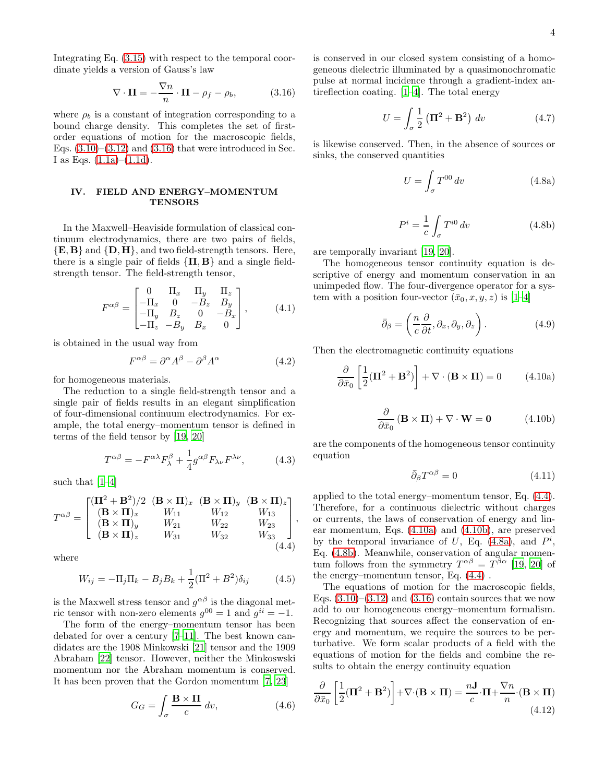Integrating Eq. [\(3.15\)](#page-2-11) with respect to the temporal coordinate yields a version of Gauss's law

<span id="page-3-0"></span>
$$
\nabla \cdot \mathbf{\Pi} = -\frac{\nabla n}{n} \cdot \mathbf{\Pi} - \rho_f - \rho_b, \tag{3.16}
$$

where  $\rho_b$  is a constant of integration corresponding to a bound charge density. This completes the set of firstorder equations of motion for the macroscopic fields, Eqs.  $(3.10)$ – $(3.12)$  and  $(3.16)$  that were introduced in Sec. I as Eqs.  $(1.1a)–(1.1d)$  $(1.1a)–(1.1d)$ .

## IV. FIELD AND ENERGY–MOMENTUM **TENSORS**

In the Maxwell–Heaviside formulation of classical continuum electrodynamics, there are two pairs of fields,  ${E, B}$  and  ${D, H}$ , and two field-strength tensors. Here, there is a single pair of fields  $\{\Pi, B\}$  and a single fieldstrength tensor. The field-strength tensor,

$$
F^{\alpha\beta} = \begin{bmatrix} 0 & \Pi_x & \Pi_y & \Pi_z \\ -\Pi_x & 0 & -B_z & B_y \\ -\Pi_y & B_z & 0 & -B_x \\ -\Pi_z & -B_y & B_x & 0 \end{bmatrix}, \quad (4.1)
$$

is obtained in the usual way from

$$
F^{\alpha\beta} = \partial^{\alpha}A^{\beta} - \partial^{\beta}A^{\alpha} \tag{4.2}
$$

for homogeneous materials.

The reduction to a single field-strength tensor and a single pair of fields results in an elegant simplification of four-dimensional continuum electrodynamics. For example, the total energy–momentum tensor is defined in terms of the field tensor by [\[19,](#page-4-12) [20\]](#page-4-13)

$$
T^{\alpha\beta} = -F^{\alpha\lambda}F^{\beta}_{\lambda} + \frac{1}{4}g^{\alpha\beta}F_{\lambda\nu}F^{\lambda\nu}, \qquad (4.3)
$$

such that [\[1](#page-4-0)[–4\]](#page-4-1)

<span id="page-3-1"></span>
$$
T^{\alpha\beta} = \begin{bmatrix} (\mathbf{II}^2 + \mathbf{B}^2)/2 & (\mathbf{B} \times \mathbf{II})_x & (\mathbf{B} \times \mathbf{II})_y & (\mathbf{B} \times \mathbf{II})_z \\ (\mathbf{B} \times \mathbf{II})_x & W_{11} & W_{12} & W_{13} \\ (\mathbf{B} \times \mathbf{II})_y & W_{21} & W_{22} & W_{23} \\ (\mathbf{B} \times \mathbf{II})_z & W_{31} & W_{32} & W_{33} \end{bmatrix},
$$
\n(4.4)

where

$$
W_{ij} = -\Pi_j \Pi_k - B_j B_k + \frac{1}{2} (\Pi^2 + B^2) \delta_{ij}
$$
 (4.5)

is the Maxwell stress tensor and  $g^{\alpha\beta}$  is the diagonal metric tensor with non-zero elements  $g^{00} = 1$  and  $g^{ii} = -1$ .

The form of the energy–momentum tensor has been debated for over a century [\[7](#page-4-4)[–11](#page-4-5)]. The best known candidates are the 1908 Minkowski [\[21](#page-4-14)] tensor and the 1909 Abraham [\[22](#page-4-15)] tensor. However, neither the Minkoswski momentum nor the Abraham momentum is conserved. It has been proven that the Gordon momentum [\[7](#page-4-4), [23\]](#page-4-16)

$$
G_G = \int_{\sigma} \frac{\mathbf{B} \times \mathbf{\Pi}}{c} dv,
$$
 (4.6)

is conserved in our closed system consisting of a homogeneous dielectric illuminated by a quasimonochromatic pulse at normal incidence through a gradient-index antireflection coating. [\[1](#page-4-0)[–4](#page-4-1)]. The total energy

$$
U = \int_{\sigma} \frac{1}{2} \left( \mathbf{\Pi}^2 + \mathbf{B}^2 \right) dv \tag{4.7}
$$

is likewise conserved. Then, in the absence of sources or sinks, the conserved quantities

<span id="page-3-4"></span>
$$
U = \int_{\sigma} T^{00} dv \qquad (4.8a)
$$

<span id="page-3-5"></span>
$$
P^i = \frac{1}{c} \int_{\sigma} T^{i0} dv \qquad (4.8b)
$$

are temporally invariant [\[19,](#page-4-12) [20\]](#page-4-13).

The homogeneous tensor continuity equation is descriptive of energy and momentum conservation in an unimpeded flow. The four-divergence operator for a system with a position four-vector  $(\bar{x}_0, x, y, z)$  is [\[1](#page-4-0)[–4\]](#page-4-1)

$$
\bar{\partial}_{\beta} = \left(\frac{n}{c}\frac{\partial}{\partial t}, \partial_x, \partial_y, \partial_z\right). \tag{4.9}
$$

Then the electromagnetic continuity equations

<span id="page-3-2"></span>
$$
\frac{\partial}{\partial \bar{x}_0} \left[ \frac{1}{2} (\mathbf{\Pi}^2 + \mathbf{B}^2) \right] + \nabla \cdot (\mathbf{B} \times \mathbf{\Pi}) = 0 \tag{4.10a}
$$

<span id="page-3-3"></span>
$$
\frac{\partial}{\partial \bar{x}_0} (\mathbf{B} \times \mathbf{\Pi}) + \nabla \cdot \mathbf{W} = \mathbf{0}
$$
 (4.10b)

are the components of the homogeneous tensor continuity equation

$$
\bar{\partial}_{\beta}T^{\alpha\beta} = 0 \tag{4.11}
$$

applied to the total energy–momentum tensor, Eq. [\(4.4\)](#page-3-1). Therefore, for a continuous dielectric without charges or currents, the laws of conservation of energy and linear momentum, Eqs. [\(4.10a\)](#page-3-2) and [\(4.10b\)](#page-3-3), are preserved by the temporal invariance of U, Eq.  $(4.8a)$ , and  $P<sup>i</sup>$ , Eq. [\(4.8b\)](#page-3-5). Meanwhile, conservation of angular momentum follows from the symmetry  $T^{\alpha\beta} = T^{\beta\alpha}$  [\[19](#page-4-12), [20](#page-4-13)] of the energy–momentum tensor, Eq. [\(4.4\)](#page-3-1) .

The equations of motion for the macroscopic fields, Eqs.  $(3.10)$ – $(3.12)$  and  $(3.16)$  contain sources that we now add to our homogeneous energy–momentum formalism. Recognizing that sources affect the conservation of energy and momentum, we require the sources to be perturbative. We form scalar products of a field with the equations of motion for the fields and combine the results to obtain the energy continuity equation

$$
\frac{\partial}{\partial \bar{x}_0} \left[ \frac{1}{2} (\mathbf{\Pi}^2 + \mathbf{B}^2) \right] + \nabla \cdot (\mathbf{B} \times \mathbf{\Pi}) = \frac{n \mathbf{J}}{c} \cdot \mathbf{\Pi} + \frac{\nabla n}{n} \cdot (\mathbf{B} \times \mathbf{\Pi})
$$
\n(4.12)